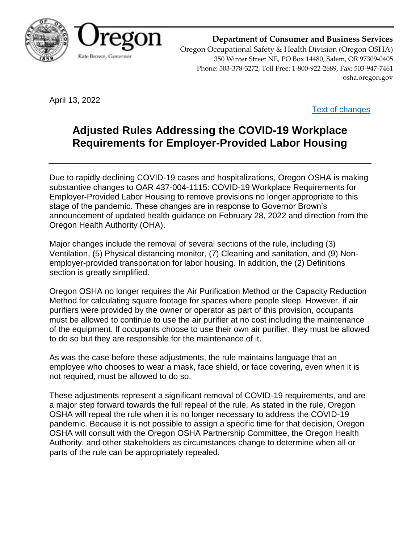

**Department of Consumer and Business Services** Oregon Occupational Safety & Health Division (Oregon OSHA) 350 Winter Street NE, PO Box 14480, Salem, OR 97309-0405 Phone: 503-378-3272, Toll Free: 1-800-922-2689, Fax: 503-947-7461 osha.oregon.gov

April 13, 2022

[Text of changes](https://osha.oregon.gov/OSHARules/adopted/2022/ao2-2022-text-temp-cov19-alh.pdf)

# **Adjusted Rules Addressing the COVID-19 Workplace Requirements for Employer-Provided Labor Housing**

Due to rapidly declining COVID-19 cases and hospitalizations, Oregon OSHA is making substantive changes to OAR 437-004-1115: COVID-19 Workplace Requirements for Employer-Provided Labor Housing to remove provisions no longer appropriate to this stage of the pandemic. These changes are in response to Governor Brown's announcement of updated health guidance on February 28, 2022 and direction from the Oregon Health Authority (OHA).

Major changes include the removal of several sections of the rule, including (3) Ventilation, (5) Physical distancing monitor, (7) Cleaning and sanitation, and (9) Nonemployer-provided transportation for labor housing. In addition, the (2) Definitions section is greatly simplified.

Oregon OSHA no longer requires the Air Purification Method or the Capacity Reduction Method for calculating square footage for spaces where people sleep. However, if air purifiers were provided by the owner or operator as part of this provision, occupants must be allowed to continue to use the air purifier at no cost including the maintenance of the equipment. If occupants choose to use their own air purifier, they must be allowed to do so but they are responsible for the maintenance of it.

As was the case before these adjustments, the rule maintains language that an employee who chooses to wear a mask, face shield, or face covering, even when it is not required, must be allowed to do so.

These adjustments represent a significant removal of COVID-19 requirements, and are a major step forward towards the full repeal of the rule. As stated in the rule, Oregon OSHA will repeal the rule when it is no longer necessary to address the COVID-19 pandemic. Because it is not possible to assign a specific time for that decision, Oregon OSHA will consult with the Oregon OSHA Partnership Committee, the Oregon Health Authority, and other stakeholders as circumstances change to determine when all or parts of the rule can be appropriately repealed.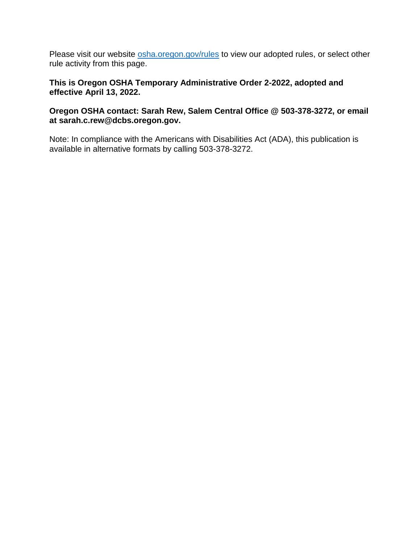Please visit our website [osha.oregon.gov/rules](https://osha.oregon.gov/rules/) to view our adopted rules, or select other rule activity from this page.

# **This is Oregon OSHA Temporary Administrative Order 2-2022, adopted and effective April 13, 2022.**

# **Oregon OSHA contact: Sarah Rew, Salem Central Office @ 503-378-3272, or email at sarah.c.rew@dcbs.oregon.gov.**

Note: In compliance with the Americans with Disabilities Act (ADA), this publication is available in alternative formats by calling 503-378-3272.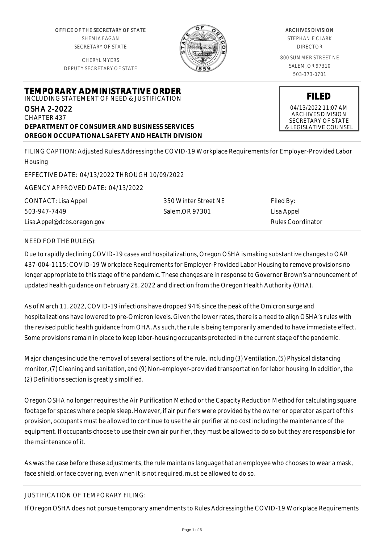OFFICE OF THE SECRETARY OF STATE SHEMIA FAGAN SECRETARY OF STATE

CHERYL MYERS DEPUTY SECRETARY OF STATE

**TEMPORARY ADMINISTRATIVE ORDER** INCLUDING STATEMENT OF NEED & JUSTIFICATION



#### ARCHIVES DIVISION

STEPHANIE CLARK DIRECTOR

800 SUMMER STREET NE SALEM, OR 97310 503-373-0701

> **FILED** 04/13/2022 11:07 AM ARCHIVES DIVISION SECRETARY OF STATE

& LEGISLATIVE COUNSEL

OSHA 2-2022 CHAPTER 437 **DEPARTMENT OF CONSUMER AND BUSINESS SERVICES OREGON OCCUPATIONAL SAFETY AND HEALTH DIVISION**

FILING CAPTION: Adjusted Rules Addressing the COVID-19 Workplace Requirements for Employer-Provided Labor Housing

EFFECTIVE DATE: 04/13/2022 THROUGH 10/09/2022

AGENCY APPROVED DATE: 04/13/2022

CONTACT: Lisa Appel 503-947-7449

Lisa.Appel@dcbs.oregon.gov

350 Winter Street NE Salem,OR 97301

Filed By: Lisa Appel Rules Coordinator

# NEED FOR THE RULE(S):

Due to rapidly declining COVID-19 cases and hospitalizations, Oregon OSHA is making substantive changes to OAR 437-004-1115: COVID-19 Workplace Requirements for Employer-Provided Labor Housing to remove provisions no longer appropriate to this stage of the pandemic. These changes are in response to Governor Brown's announcement of updated health guidance on February 28, 2022 and direction from the Oregon Health Authority (OHA).

As of March 11, 2022, COVID-19 infections have dropped 94% since the peak of the Omicron surge and hospitalizations have lowered to pre-Omicron levels. Given the lower rates, there is a need to align OSHA's rules with the revised public health guidance from OHA. As such, the rule is being temporarily amended to have immediate effect. Some provisions remain in place to keep labor-housing occupants protected in the current stage of the pandemic.

Major changes include the removal of several sections of the rule, including (3) Ventilation, (5) Physical distancing monitor, (7) Cleaning and sanitation, and (9) Non-employer-provided transportation for labor housing. In addition, the (2) Definitions section is greatly simplified.

Oregon OSHA no longer requires the Air Purification Method or the Capacity Reduction Method for calculating square footage for spaces where people sleep. However, if air purifiers were provided by the owner or operator as part of this provision, occupants must be allowed to continue to use the air purifier at no cost including the maintenance of the equipment. If occupants choose to use their own air purifier, they must be allowed to do so but they are responsible for the maintenance of it.

As was the case before these adjustments, the rule maintains language that an employee who chooses to wear a mask, face shield, or face covering, even when it is not required, must be allowed to do so.

# JUSTIFICATION OF TEMPORARY FILING:

If Oregon OSHA does not pursue temporary amendments to Rules Addressing the COVID-19 Workplace Requirements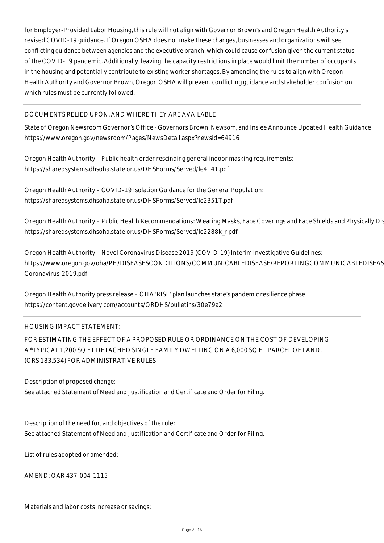for Employer-Provided Labor Housing, this rule will not align with Governor Brown's and Oregon Health Authority's revised COVID-19 guidance. If Oregon OSHA does not make these changes, businesses and organizations will see conflicting guidance between agencies and the executive branch, which could cause confusion given the current status of the COVID-19 pandemic. Additionally, leaving the capacity restrictions in place would limit the number of occupants in the housing and potentially contribute to existing worker shortages. By amending the rules to align with Oregon Health Authority and Governor Brown, Oregon OSHA will prevent conflicting guidance and stakeholder confusion on which rules must be currently followed.

# DOCUMENTS RELIED UPON, AND WHERE THEY ARE AVAILABLE:

State of Oregon Newsroom Governor's Office - Governors Brown, Newsom, and Inslee Announce Updated Health Guidance: https://www.oregon.gov/newsroom/Pages/NewsDetail.aspx?newsid=64916

Oregon Health Authority – Public health order rescinding general indoor masking requirements: https://sharedsystems.dhsoha.state.or.us/DHSForms/Served/le4141.pdf

Oregon Health Authority – COVID-19 Isolation Guidance for the General Population: https://sharedsystems.dhsoha.state.or.us/DHSForms/Served/le2351T.pdf

Oregon Health Authority – Public Health Recommendations: Wearing Masks, Face Coverings and Face Shields and Physically Dis https://sharedsystems.dhsoha.state.or.us/DHSForms/Served/le2288k\_r.pdf

Oregon Health Authority – Novel Coronavirus Disease 2019 (COVID-19) Interim Investigative Guidelines: https://www.oregon.gov/oha/PH/DISEASESCONDITIONS/COMMUNICABLEDISEASE/REPORTINGCOMMUNICABLEDISEAS Coronavirus-2019.pdf

Oregon Health Authority press release – OHA 'RISE' plan launches state's pandemic resilience phase: https://content.govdelivery.com/accounts/ORDHS/bulletins/30e79a2

# HOUSING IMPACT STATEMENT:

FOR ESTIMATING THE EFFECT OF A PROPOSED RULE OR ORDINANCE ON THE COST OF DEVELOPING A \*TYPICAL 1,200 SQ FT DETACHED SINGLE FAMILY DWELLING ON A 6,000 SQ FT PARCEL OF LAND. (ORS 183.534) FOR ADMINISTRATIVE RULES

Description of proposed change: See attached Statement of Need and Justification and Certificate and Order for Filing.

Description of the need for, and objectives of the rule: See attached Statement of Need and Justification and Certificate and Order for Filing.

List of rules adopted or amended:

AMEND: OAR 437-004-1115

Materials and labor costs increase or savings: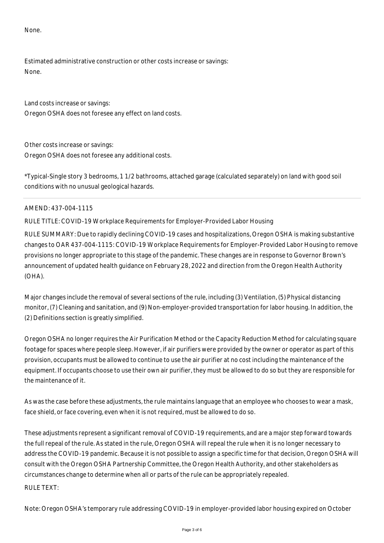None.

Estimated administrative construction or other costs increase or savings: None.

Land costs increase or savings: Oregon OSHA does not foresee any effect on land costs.

Other costs increase or savings: Oregon OSHA does not foresee any additional costs.

\*Typical-Single story 3 bedrooms, 1 1/2 bathrooms, attached garage (calculated separately) on land with good soil conditions with no unusual geological hazards.

# AMEND: 437-004-1115

RULE TITLE: COVID-19 Workplace Requirements for Employer-Provided Labor Housing

RULE SUMMARY: Due to rapidly declining COVID-19 cases and hospitalizations, Oregon OSHA is making substantive changes to OAR 437-004-1115: COVID-19 Workplace Requirements for Employer-Provided Labor Housing to remove provisions no longer appropriate to this stage of the pandemic. These changes are in response to Governor Brown's announcement of updated health guidance on February 28, 2022 and direction from the Oregon Health Authority (OHA).

Major changes include the removal of several sections of the rule, including (3) Ventilation, (5) Physical distancing monitor, (7) Cleaning and sanitation, and (9) Non-employer-provided transportation for labor housing. In addition, the (2) Definitions section is greatly simplified.

Oregon OSHA no longer requires the Air Purification Method or the Capacity Reduction Method for calculating square footage for spaces where people sleep. However, if air purifiers were provided by the owner or operator as part of this provision, occupants must be allowed to continue to use the air purifier at no cost including the maintenance of the equipment. If occupants choose to use their own air purifier, they must be allowed to do so but they are responsible for the maintenance of it.

As was the case before these adjustments, the rule maintains language that an employee who chooses to wear a mask, face shield, or face covering, even when it is not required, must be allowed to do so.

These adjustments represent a significant removal of COVID-19 requirements, and are a major step forward towards the full repeal of the rule. As stated in the rule, Oregon OSHA will repeal the rule when it is no longer necessary to address the COVID-19 pandemic. Because it is not possible to assign a specific time for that decision, Oregon OSHA will consult with the Oregon OSHA Partnership Committee, the Oregon Health Authority, and other stakeholders as circumstances change to determine when all or parts of the rule can be appropriately repealed. RULE TEXT:

Note: Oregon OSHA's temporary rule addressing COVID-19 in employer-provided labor housing expired on October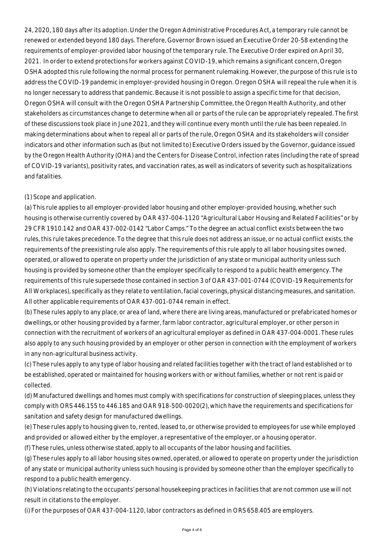24, 2020, 180 days after its adoption. Under the Oregon Administrative Procedures Act, a temporary rule cannot be renewed or extended beyond 180 days. Therefore, Governor Brown issued an Executive Order 20-58 extending the requirements of employer-provided labor housing of the temporary rule. The Executive Order expired on April 30, 2021. In order to extend protections for workers against COVID-19, which remains a significant concern, Oregon OSHA adopted this rule following the normal process for permanent rulemaking. However, the purpose of this rule is to address the COVID-19 pandemic in employer-provided housing in Oregon. Oregon OSHA will repeal the rule when it is no longer necessary to address that pandemic. Because it is not possible to assign a specific time for that decision, Oregon OSHA will consult with the Oregon OSHA Partnership Committee, the Oregon Health Authority, and other stakeholders as circumstances change to determine when all or parts of the rule can be appropriately repealed. The first of these discussions took place in June 2021, and they will continue every month until the rule has been repealed. In making determinations about when to repeal all or parts of the rule, Oregon OSHA and its stakeholders will consider indicators and other information such as (but not limited to) Executive Orders issued by the Governor, guidance issued by the Oregon Health Authority (OHA) and the Centers for Disease Control, infection rates (including the rate of spread of COVID-19 variants), positivity rates, and vaccination rates, as well as indicators of severity such as hospitalizations and fatalities.

# (1) Scope and application.

(a) This rule applies to all employer-provided labor housing and other employer-provided housing, whether such housing is otherwise currently covered by OAR 437-004-1120 "Agricultural Labor Housing and Related Facilities" or by 29 CFR 1910.142 and OAR 437-002-0142 "Labor Camps." To the degree an actual conflict exists between the two rules, this rule takes precedence. To the degree that this rule does not address an issue, or no actual conflict exists, the requirements of the preexisting rule also apply. The requirements of this rule apply to all labor housing sites owned, operated, or allowed to operate on property under the jurisdiction of any state or municipal authority unless such housing is provided by someone other than the employer specifically to respond to a public health emergency. The requirements of this rule supersede those contained in section 3 of OAR 437-001-0744 (COVID-19 Requirements for All Workplaces), specifically as they relate to ventilation, facial coverings, physical distancing measures, and sanitation. All other applicable requirements of OAR 437-001-0744 remain in effect.

(b) These rules apply to any place, or area of land, where there are living areas, manufactured or prefabricated homes or dwellings, or other housing provided by a farmer, farm labor contractor, agricultural employer, or other person in connection with the recruitment of workers of an agricultural employer as defined in OAR 437-004-0001. These rules also apply to any such housing provided by an employer or other person in connection with the employment of workers in any non-agricultural business activity.

(c) These rules apply to any type of labor housing and related facilities together with the tract of land established or to be established, operated or maintained for housing workers with or without families, whether or not rent is paid or collected.

(d) Manufactured dwellings and homes must comply with specifications for construction of sleeping places, unless they comply with ORS 446.155 to 446.185 and OAR 918-500-0020(2), which have the requirements and specifications for sanitation and safety design for manufactured dwellings.

(e) These rules apply to housing given to, rented, leased to, or otherwise provided to employees for use while employed and provided or allowed either by the employer, a representative of the employer, or a housing operator.

(f) These rules, unless otherwise stated, apply to all occupants of the labor housing and facilities.

(g) These rules apply to all labor housing sites owned, operated, or allowed to operate on property under the jurisdiction of any state or municipal authority unless such housing is provided by someone other than the employer specifically to respond to a public health emergency.

(h) Violations relating to the occupants' personal housekeeping practices in facilities that are not common use will not result in citations to the employer.

(i) For the purposes of OAR 437-004-1120, labor contractors as defined in ORS 658.405 are employers.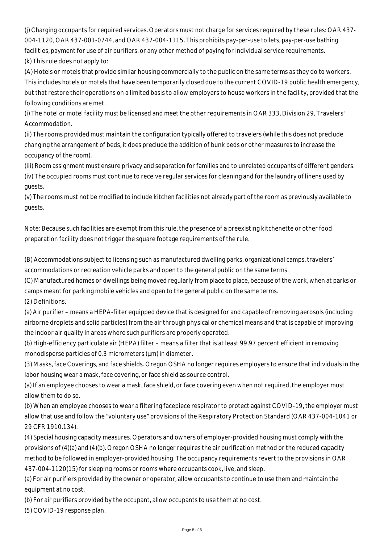(j) Charging occupants for required services. Operators must not charge for services required by these rules: OAR 437- 004-1120, OAR 437-001-0744, and OAR 437-004-1115. This prohibits pay-per-use toilets, pay-per-use bathing facilities, payment for use of air purifiers, or any other method of paying for individual service requirements. (k) This rule does not apply to:

(A) Hotels or motels that provide similar housing commercially to the public on the same terms as they do to workers. This includes hotels or motels that have been temporarily closed due to the current COVID-19 public health emergency, but that restore their operations on a limited basis to allow employers to house workers in the facility, provided that the following conditions are met.

(i) The hotel or motel facility must be licensed and meet the other requirements in OAR 333, Division 29, Travelers' Accommodation.

(ii) The rooms provided must maintain the configuration typically offered to travelers (while this does not preclude changing the arrangement of beds, it does preclude the addition of bunk beds or other measures to increase the occupancy of the room).

(iii) Room assignment must ensure privacy and separation for families and to unrelated occupants of different genders. (iv) The occupied rooms must continue to receive regular services for cleaning and for the laundry of linens used by guests.

(v) The rooms must not be modified to include kitchen facilities not already part of the room as previously available to guests.

Note: Because such facilities are exempt from this rule, the presence of a preexisting kitchenette or other food preparation facility does not trigger the square footage requirements of the rule.

(B) Accommodations subject to licensing such as manufactured dwelling parks, organizational camps, travelers' accommodations or recreation vehicle parks and open to the general public on the same terms.

(C) Manufactured homes or dwellings being moved regularly from place to place, because of the work, when at parks or camps meant for parking mobile vehicles and open to the general public on the same terms. (2) Definitions.

(a) Air purifier – means a HEPA-filter equipped device that is designed for and capable of removing aerosols (including airborne droplets and solid particles) from the air through physical or chemical means and that is capable of improving the indoor air quality in areas where such purifiers are properly operated.

(b) High-efficiency particulate air (HEPA) filter – means a filter that is at least 99.97 percent efficient in removing monodisperse particles of 0.3 micrometers ( $\mu$ m) in diameter.

(3) Masks, face Coverings, and face shields. Oregon OSHA no longer requires employers to ensure that individuals in the labor housing wear a mask, face covering, or face shield as source control.

(a) If an employee chooses to wear a mask, face shield, or face covering even when not required, the employer must allow them to do so.

(b) When an employee chooses to wear a filtering facepiece respirator to protect against COVID-19, the employer must allow that use and follow the "voluntary use" provisions of the Respiratory Protection Standard (OAR 437-004-1041 or 29 CFR 1910.134).

(4) Special housing capacity measures. Operators and owners of employer-provided housing must comply with the provisions of (4)(a) and (4)(b). Oregon OSHA no longer requires the air purification method or the reduced capacity method to be followed in employer-provided housing. The occupancy requirements revert to the provisions in OAR 437-004-1120(15) for sleeping rooms or rooms where occupants cook, live, and sleep.

(a) For air purifiers provided by the owner or operator, allow occupants to continue to use them and maintain the equipment at no cost.

(b) For air purifiers provided by the occupant, allow occupants to use them at no cost.

(5) COVID-19 response plan.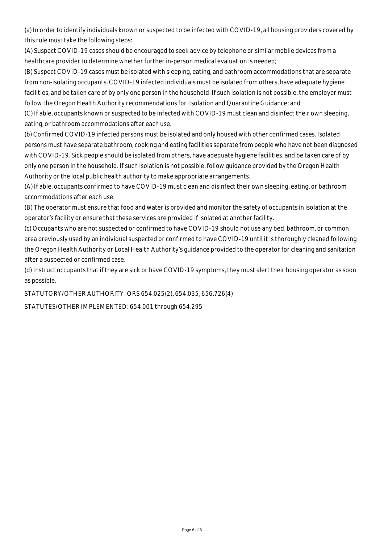(a) In order to identify individuals known or suspected to be infected with COVID-19, all housing providers covered by this rule must take the following steps:

(A) Suspect COVID-19 cases should be encouraged to seek advice by telephone or similar mobile devices from a healthcare provider to determine whether further in-person medical evaluation is needed;

(B) Suspect COVID-19 cases must be isolated with sleeping, eating, and bathroom accommodations that are separate from non-isolating occupants. COVID-19 infected individuals must be isolated from others, have adequate hygiene facilities, and be taken care of by only one person in the household. If such isolation is not possible, the employer must follow the Oregon Health Authority recommendations for Isolation and Quarantine Guidance; and

(C) If able, occupants known or suspected to be infected with COVID-19 must clean and disinfect their own sleeping, eating, or bathroom accommodations after each use.

(b) Confirmed COVID-19 infected persons must be isolated and only housed with other confirmed cases. Isolated persons must have separate bathroom, cooking and eating facilities separate from people who have not been diagnosed with COVID-19. Sick people should be isolated from others, have adequate hygiene facilities, and be taken care of by only one person in the household. If such isolation is not possible, follow guidance provided by the Oregon Health Authority or the local public health authority to make appropriate arrangements.

(A) If able, occupants confirmed to have COVID-19 must clean and disinfect their own sleeping, eating, or bathroom accommodations after each use.

(B) The operator must ensure that food and water is provided and monitor the safety of occupants in isolation at the operator's facility or ensure that these services are provided if isolated at another facility.

(c) Occupants who are not suspected or confirmed to have COVID-19 should not use any bed, bathroom, or common area previously used by an individual suspected or confirmed to have COVID-19 until it is thoroughly cleaned following the Oregon Health Authority or Local Health Authority's guidance provided to the operator for cleaning and sanitation after a suspected or confirmed case.

(d) Instruct occupants that if they are sick or have COVID-19 symptoms, they must alert their housing operator as soon as possible.

STATUTORY/OTHER AUTHORITY: ORS 654.025(2), 654.035, 656.726(4)

STATUTES/OTHER IMPLEMENTED: 654.001 through 654.295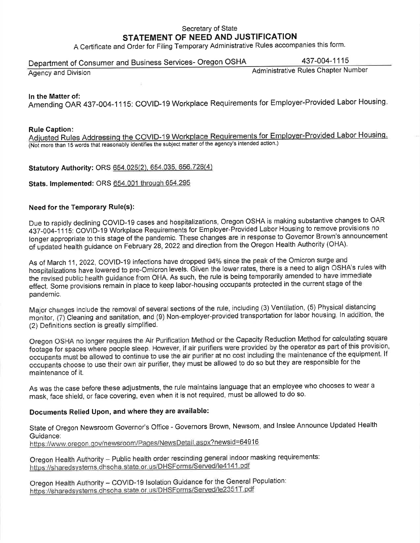# Secretary of State STATEMENT OF NEED AND JUSTIFICATION

A Certificate and Order for Filing Temporary Administrative Rules accompanies this form.

#### 437-004-1115 Department of Consumer and Business Services- Oregon OSHA

Agency and Division

**Administrative Rules Chapter Number** 

#### In the Matter of:

Amending OAR 437-004-1115: COVID-19 Workplace Requirements for Employer-Provided Labor Housing.

#### **Rule Caption:**

Adjusted Rules Addressing the COVID-19 Workplace Requirements for Employer-Provided Labor Housing. (Not more than 15 words that reasonably identifies the subject matter of the agency's intended action.)

Statutory Authority: ORS 654.025(2), 654.035, 656.726(4)

#### Stats. Implemented: ORS 654.001 through 654.295

### **Need for the Temporary Rule(s):**

Due to rapidly declining COVID-19 cases and hospitalizations, Oregon OSHA is making substantive changes to OAR 437-004-1115: COVID-19 Workplace Requirements for Employer-Provided Labor Housing to remove provisions no longer appropriate to this stage of the pandemic. These changes are in response to Governor Brown's announcement of updated health guidance on February 28, 2022 and direction from the Oregon Health Authority (OHA).

As of March 11, 2022, COVID-19 infections have dropped 94% since the peak of the Omicron surge and hospitalizations have lowered to pre-Omicron levels. Given the lower rates, there is a need to align OSHA's rules with the revised public health guidance from OHA. As such, the rule is being temporarily amended to have immediate effect. Some provisions remain in place to keep labor-housing occupants protected in the current stage of the pandemic.

Major changes include the removal of several sections of the rule, including (3) Ventilation, (5) Physical distancing monitor, (7) Cleaning and sanitation, and (9) Non-employer-provided transportation for labor housing. In addition, the (2) Definitions section is greatly simplified.

Oregon OSHA no longer requires the Air Purification Method or the Capacity Reduction Method for calculating square footage for spaces where people sleep. However, if air purifiers were provided by the operator as part of this provision, occupants must be allowed to continue to use the air purifier at no cost including the maintenance of the equipment. If occupants choose to use their own air purifier, they must be allowed to do so but they are responsible for the maintenance of it.

As was the case before these adjustments, the rule maintains language that an employee who chooses to wear a mask, face shield, or face covering, even when it is not required, must be allowed to do so.

# Documents Relied Upon, and where they are available:

State of Oregon Newsroom Governor's Office - Governors Brown, Newsom, and Inslee Announce Updated Health Guidance: https://www.oregon.gov/newsroom/Pages/NewsDetail.aspx?newsid=64916

Oregon Health Authority - Public health order rescinding general indoor masking requirements: https://sharedsystems.dhsoha.state.or.us/DHSForms/Served/le4141.pdf

Oregon Health Authority - COVID-19 Isolation Guidance for the General Population: https://sharedsystems.dhsoha.state.or.us/DHSForms/Served/le2351T.pdf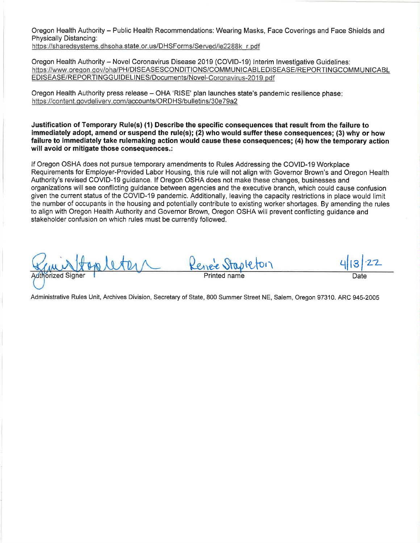Oregon Health Authority - Public Health Recommendations: Wearing Masks, Face Coverings and Face Shields and Physically Distancing:

https://sharedsystems.dhsoha.state.or.us/DHSForms/Served/le2288k\_r.pdf

Oregon Health Authority - Novel Coronavirus Disease 2019 (COVID-19) Interim Investigative Guidelines: https://www.oregon.gov/oha/PH/DISEASESCONDITIONS/COMMUNICABLEDISEASE/REPORTINGCOMMUNICABL EDISEASE/REPORTINGGUIDELINES/Documents/Novel-Coronavirus-2019.pdf

Oregon Health Authority press release - OHA 'RISE' plan launches state's pandemic resilience phase: https://content.govdelivery.com/accounts/ORDHS/bulletins/30e79a2

Justification of Temporary Rule(s) (1) Describe the specific consequences that result from the failure to immediately adopt, amend or suspend the rule(s); (2) who would suffer these consequences; (3) why or how failure to immediately take rulemaking action would cause these consequences; (4) how the temporary action will avoid or mitigate those consequences.:

If Oregon OSHA does not pursue temporary amendments to Rules Addressing the COVID-19 Workplace Requirements for Employer-Provided Labor Housing, this rule will not align with Governor Brown's and Oregon Health Authority's revised COVID-19 guidance. If Oregon OSHA does not make these changes, businesses and organizations will see conflicting guidance between agencies and the executive branch, which could cause confusion given the current status of the COVID-19 pandemic. Additionally, leaving the capacity restrictions in place would limit the number of occupants in the housing and potentially contribute to existing worker shortages. By amending the rules to align with Oregon Health Authority and Governor Brown, Oregon OSHA will prevent conflicting guidance and stakeholder confusion on which rules must be currently followed.

**Authorized S** Date

Administrative Rules Unit, Archives Division, Secretary of State, 800 Summer Street NE, Salem, Oregon 97310. ARC 945-2005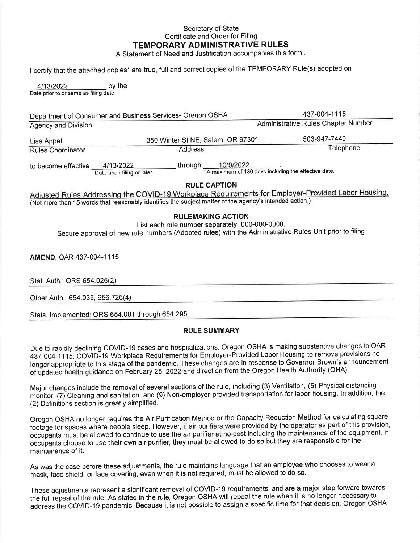### Secretary of State Certificate and Order for Filing TEMPORARY ADMINISTRATIVE RULES

A Statement of Need and Justification accompanies this form...

I certify that the attached copies\* are true, full and correct copies of the TEMPORARY Rule(s) adopted on

4/13/2022 by the Date prior to or same as filing date

437-004-1115 Department of Consumer and Business Services- Oregon OSHA **Administrative Rules Chapter Number Agency and Division** 503-947-7449 350 Winter St NE, Salem, OR 97301 Lisa Appel Telephone **Address** Rules Coordinator

to become effective 4/13/2022<br>Date upon filing or later

\_\_ through  $\frac{10/9/2022}{A \text{ maximum of 180 days including the effective date.}}$ 

**RULE CAPTION** 

Adjusted Rules Addressing the COVID-19 Workplace Requirements for Employer-Provided Labor Housing. (Not more than 15 words that reasonably identifies the subject matter of the agency's intended action.)

### **RULEMAKING ACTION**

List each rule number separately, 000-000-0000.

Secure approval of new rule numbers (Adopted rules) with the Administrative Rules Unit prior to filing

AMEND: OAR 437-004-1115

Stat. Auth.: ORS 654.025(2)

Other Auth.: 654.035, 656.726(4)

Stats. Implemented: ORS 654.001 through 654.295

#### **RULE SUMMARY**

Due to rapidly declining COVID-19 cases and hospitalizations, Oregon OSHA is making substantive changes to OAR 437-004-1115: COVID-19 Workplace Requirements for Employer-Provided Labor Housing to remove provisions no longer appropriate to this stage of the pandemic. These changes are in response to Governor Brown's announcement of updated health guidance on February 28, 2022 and direction from the Oregon Health Authority (OHA).

Major changes include the removal of several sections of the rule, including (3) Ventilation, (5) Physical distancing monitor. (7) Cleaning and sanitation, and (9) Non-employer-provided transportation for labor housing. In addition, the (2) Definitions section is greatly simplified.

Oregon OSHA no longer requires the Air Purification Method or the Capacity Reduction Method for calculating square footage for spaces where people sleep. However, if air purifiers were provided by the operator as part of this provision, occupants must be allowed to continue to use the air purifier at no cost including the maintenance of the equipment. If occupants choose to use their own air purifier, they must be allowed to do so but they are responsible for the maintenance of it.

As was the case before these adjustments, the rule maintains language that an employee who chooses to wear a mask, face shield, or face covering, even when it is not required, must be allowed to do so.

These adjustments represent a significant removal of COVID-19 requirements, and are a major step forward towards the full repeal of the rule. As stated in the rule. Oregon OSHA will repeal the rule when it is no longer necessary to address the COVID-19 pandemic. Because it is not possible to assign a specific time for that decision, Oregon OSHA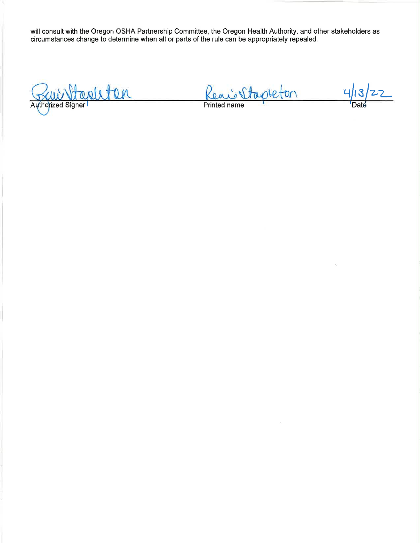will consult with the Oregon OSHA Partnership Committee, the Oregon Health Authority, and other stakeholders as<br>circumstances change to determine when all or parts of the rule can be appropriately repealed.

Stapleten Authorized Signer

<u>Reni Stapleton</u>

 $413$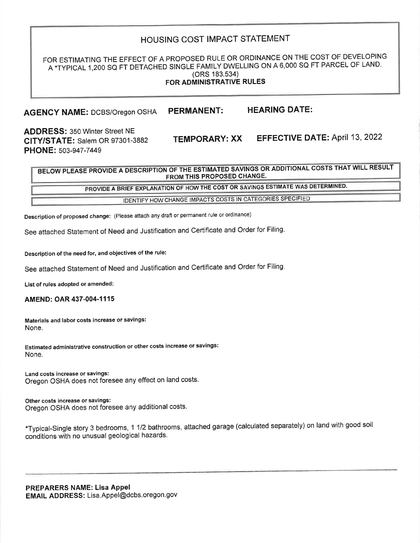# HOUSING COST IMPACT STATEMENT

### FOR ESTIMATING THE EFFECT OF A PROPOSED RULE OR ORDINANCE ON THE COST OF DEVELOPING A \*TYPICAL 1,200 SQ FT DETACHED SINGLE FAMILY DWELLING ON A 6,000 SQ FT PARCEL OF LAND. (ORS 183.534) FOR ADMINISTRATIVE RULES

#### **HEARING DATE: PERMANENT: AGENCY NAME: DCBS/Oregon OSHA**

**ADDRESS: 350 Winter Street NE** CITY/STATE: Salem OR 97301-3882 PHONE: 503-947-7449

**EFFECTIVE DATE: April 13, 2022** 

BELOW PLEASE PROVIDE A DESCRIPTION OF THE ESTIMATED SAVINGS OR ADDITIONAL COSTS THAT WILL RESULT FROM THIS PROPOSED CHANGE.

**TEMPORARY: XX** 

PROVIDE A BRIEF EXPLANATION OF HOW THE COST OR SAVINGS ESTIMATE WAS DETERMINED.

IDENTIFY HOW CHANGE IMPACTS COSTS IN CATEGORIES SPECIFIED

Description of proposed change: (Please attach any draft or permanent rule or ordinance)

See attached Statement of Need and Justification and Certificate and Order for Filing.

Description of the need for, and objectives of the rule:

See attached Statement of Need and Justification and Certificate and Order for Filing.

List of rules adopted or amended:

AMEND: OAR 437-004-1115

Materials and labor costs increase or savings: None.

Estimated administrative construction or other costs increase or savings: None.

Land costs increase or savings: Oregon OSHA does not foresee any effect on land costs.

Other costs increase or savings: Oregon OSHA does not foresee any additional costs.

\*Typical-Single story 3 bedrooms, 1 1/2 bathrooms, attached garage (calculated separately) on land with good soil conditions with no unusual geological hazards.

PREPARERS NAME: Lisa Appel EMAIL ADDRESS: Lisa.Appel@dcbs.oregon.gov